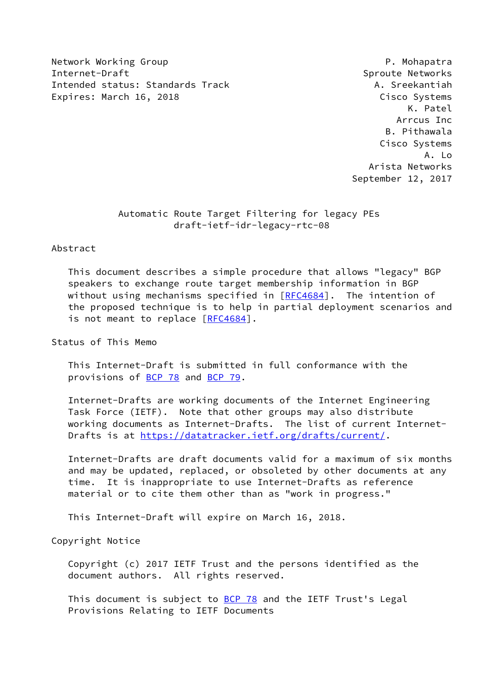Network Working Group **P. Mohapatra** Internet-Draft Sproute Networks Intended status: Standards Track A. Sreekantiah Expires: March 16, 2018 **Expires:** March 16, 2018

 K. Patel Arrcus Inc B. Pithawala Cisco Systems A. Lo Arista Networks September 12, 2017

## Automatic Route Target Filtering for legacy PEs draft-ietf-idr-legacy-rtc-08

#### Abstract

 This document describes a simple procedure that allows "legacy" BGP speakers to exchange route target membership information in BGP without using mechanisms specified in [[RFC4684](https://datatracker.ietf.org/doc/pdf/rfc4684)]. The intention of the proposed technique is to help in partial deployment scenarios and is not meant to replace [\[RFC4684](https://datatracker.ietf.org/doc/pdf/rfc4684)].

Status of This Memo

 This Internet-Draft is submitted in full conformance with the provisions of [BCP 78](https://datatracker.ietf.org/doc/pdf/bcp78) and [BCP 79](https://datatracker.ietf.org/doc/pdf/bcp79).

 Internet-Drafts are working documents of the Internet Engineering Task Force (IETF). Note that other groups may also distribute working documents as Internet-Drafts. The list of current Internet- Drafts is at<https://datatracker.ietf.org/drafts/current/>.

 Internet-Drafts are draft documents valid for a maximum of six months and may be updated, replaced, or obsoleted by other documents at any time. It is inappropriate to use Internet-Drafts as reference material or to cite them other than as "work in progress."

This Internet-Draft will expire on March 16, 2018.

Copyright Notice

 Copyright (c) 2017 IETF Trust and the persons identified as the document authors. All rights reserved.

This document is subject to **[BCP 78](https://datatracker.ietf.org/doc/pdf/bcp78)** and the IETF Trust's Legal Provisions Relating to IETF Documents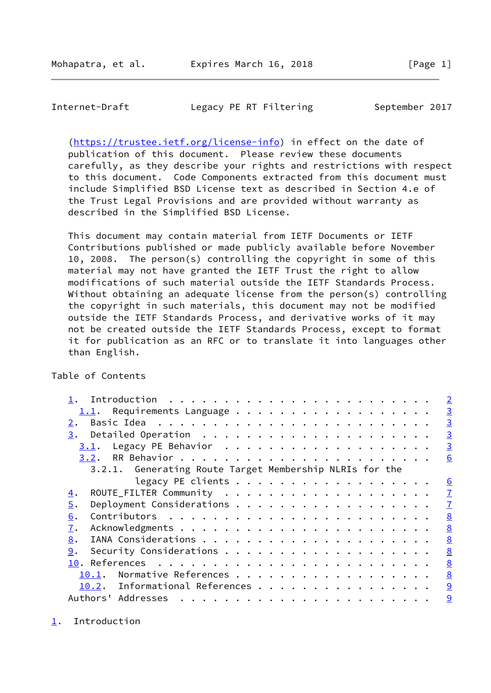<span id="page-1-1"></span> [\(https://trustee.ietf.org/license-info](https://trustee.ietf.org/license-info)) in effect on the date of publication of this document. Please review these documents carefully, as they describe your rights and restrictions with respect to this document. Code Components extracted from this document must include Simplified BSD License text as described in Section 4.e of the Trust Legal Provisions and are provided without warranty as described in the Simplified BSD License.

 This document may contain material from IETF Documents or IETF Contributions published or made publicly available before November 10, 2008. The person(s) controlling the copyright in some of this material may not have granted the IETF Trust the right to allow modifications of such material outside the IETF Standards Process. Without obtaining an adequate license from the person(s) controlling the copyright in such materials, this document may not be modified outside the IETF Standards Process, and derivative works of it may not be created outside the IETF Standards Process, except to format it for publication as an RFC or to translate it into languages other than English.

## Table of Contents

|                                                         | $\overline{2}$  |
|---------------------------------------------------------|-----------------|
| Requirements Language<br>1.1.                           | $\overline{3}$  |
| 2.                                                      | $\overline{3}$  |
| 3.                                                      | $\overline{3}$  |
| 3.1.                                                    | $\overline{3}$  |
|                                                         | 6               |
| 3.2.1. Generating Route Target Membership NLRIs for the |                 |
| legacy PE clients                                       | $\underline{6}$ |
| 4.                                                      | $\overline{1}$  |
| 5.                                                      | $\mathbf{I}$    |
| 6.                                                      | 8               |
| 7.                                                      | 8               |
| 8.                                                      | 8               |
| 9.                                                      | 8               |
|                                                         | 8               |
| 10.1.                                                   | 8               |
| 10.2. Informational References                          | 9               |
|                                                         | 9               |

<span id="page-1-0"></span>[1](#page-1-0). Introduction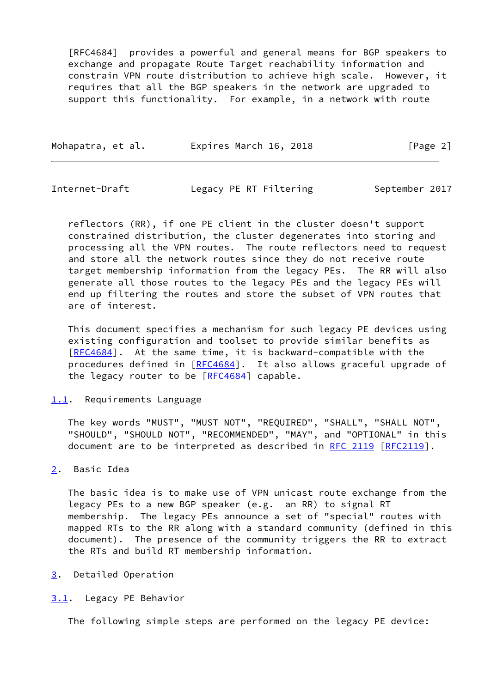[RFC4684] provides a powerful and general means for BGP speakers to exchange and propagate Route Target reachability information and constrain VPN route distribution to achieve high scale. However, it requires that all the BGP speakers in the network are upgraded to support this functionality. For example, in a network with route

| Mohapatra, et al. | Expires March 16, 2018 | [Page 2] |
|-------------------|------------------------|----------|
|-------------------|------------------------|----------|

<span id="page-2-1"></span>Internet-Draft Legacy PE RT Filtering September 2017

 reflectors (RR), if one PE client in the cluster doesn't support constrained distribution, the cluster degenerates into storing and processing all the VPN routes. The route reflectors need to request and store all the network routes since they do not receive route target membership information from the legacy PEs. The RR will also generate all those routes to the legacy PEs and the legacy PEs will end up filtering the routes and store the subset of VPN routes that are of interest.

 This document specifies a mechanism for such legacy PE devices using existing configuration and toolset to provide similar benefits as [\[RFC4684](https://datatracker.ietf.org/doc/pdf/rfc4684)]. At the same time, it is backward-compatible with the procedures defined in [[RFC4684](https://datatracker.ietf.org/doc/pdf/rfc4684)]. It also allows graceful upgrade of the legacy router to be  $[REC4684]$  capable.

## <span id="page-2-0"></span>[1.1](#page-2-0). Requirements Language

 The key words "MUST", "MUST NOT", "REQUIRED", "SHALL", "SHALL NOT", "SHOULD", "SHOULD NOT", "RECOMMENDED", "MAY", and "OPTIONAL" in this document are to be interpreted as described in [RFC 2119 \[RFC2119](https://datatracker.ietf.org/doc/pdf/rfc2119)].

# <span id="page-2-2"></span>[2](#page-2-2). Basic Idea

 The basic idea is to make use of VPN unicast route exchange from the legacy PEs to a new BGP speaker (e.g. an RR) to signal RT membership. The legacy PEs announce a set of "special" routes with mapped RTs to the RR along with a standard community (defined in this document). The presence of the community triggers the RR to extract the RTs and build RT membership information.

- <span id="page-2-3"></span>[3](#page-2-3). Detailed Operation
- <span id="page-2-4"></span>[3.1](#page-2-4). Legacy PE Behavior

The following simple steps are performed on the legacy PE device: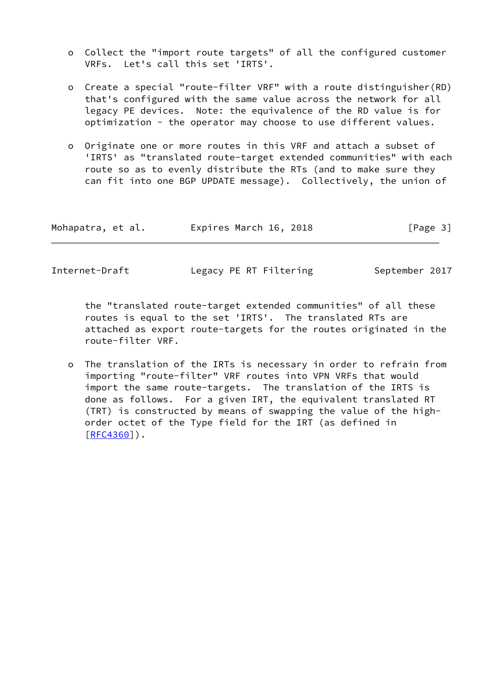- o Collect the "import route targets" of all the configured customer VRFs. Let's call this set 'IRTS'.
- o Create a special "route-filter VRF" with a route distinguisher(RD) that's configured with the same value across the network for all legacy PE devices. Note: the equivalence of the RD value is for optimization - the operator may choose to use different values.
- o Originate one or more routes in this VRF and attach a subset of 'IRTS' as "translated route-target extended communities" with each route so as to evenly distribute the RTs (and to make sure they can fit into one BGP UPDATE message). Collectively, the union of

| Mohapatra, et al. | Expires March 16, 2018 | [Page 3] |
|-------------------|------------------------|----------|
|-------------------|------------------------|----------|

 the "translated route-target extended communities" of all these routes is equal to the set 'IRTS'. The translated RTs are attached as export route-targets for the routes originated in the route-filter VRF.

 o The translation of the IRTs is necessary in order to refrain from importing "route-filter" VRF routes into VPN VRFs that would import the same route-targets. The translation of the IRTS is done as follows. For a given IRT, the equivalent translated RT (TRT) is constructed by means of swapping the value of the high order octet of the Type field for the IRT (as defined in [[RFC4360\]](https://datatracker.ietf.org/doc/pdf/rfc4360)).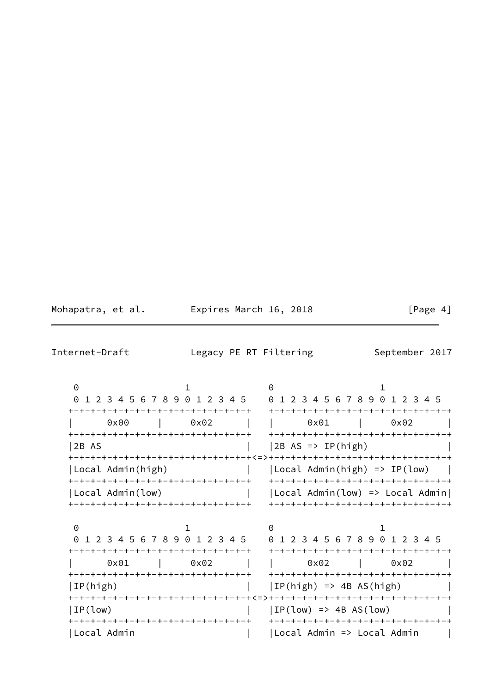Mohapatra, et al. **Expires March 16, 2018** [Page 4]

Internet-Draft Legacy PE RT Filtering September 2017

 $0$  1 0 1 0 1 2 3 4 5 6 7 8 9 0 1 2 3 4 5 0 1 2 3 4 5 6 7 8 9 0 1 2 3 4 5 +-+-+-+-+-+-+-+-+-+-+-+-+-+-+-+-+ +-+-+-+-+-+-+-+-+-+-+-+-+-+-+-+-+ | 0x00 | 0x02 | | 0x01 | 0x02 | +-+-+-+-+-+-+-+-+-+-+-+-+-+-+-+-+ +-+-+-+-+-+-+-+-+-+-+-+-+-+-+-+-+ |2B AS | |2B AS => IP(high) | +-+-+-+-+-+-+-+-+-+-+-+-+-+-+-+-+<=>+-+-+-+-+-+-+-+-+-+-+-+-+-+-+-+-+ |Local Admin(high) | |Local Admin(high) => IP(low) | +-+-+-+-+-+-+-+-+-+-+-+-+-+-+-+-+ +-+-+-+-+-+-+-+-+-+-+-+-+-+-+-+-+ |Local Admin(low) | | |Local Admin(low) => Local Admin| +-+-+-+-+-+-+-+-+-+-+-+-+-+-+-+-+ +-+-+-+-+-+-+-+-+-+-+-+-+-+-+-+-+  $0$  1 0 1 0 1 2 3 4 5 6 7 8 9 0 1 2 3 4 5 0 1 2 3 4 5 6 7 8 9 0 1 2 3 4 5 +-+-+-+-+-+-+-+-+-+-+-+-+-+-+-+-+ +-+-+-+-+-+-+-+-+-+-+-+-+-+-+-+-+ | 0x01 | 0x02 | | 0x02 | 0x02 | +-+-+-+-+-+-+-+-+-+-+-+-+-+-+-+-+ +-+-+-+-+-+-+-+-+-+-+-+-+-+-+-+-+  $|IP(high)|$   $|IP(high)|$   $\rightarrow$  4B AS(high) +-+-+-+-+-+-+-+-+-+-+-+-+-+-+-+-+<=>+-+-+-+-+-+-+-+-+-+-+-+-+-+-+-+-+  $|IP(low)$   $|$   $|IP(low)$  => 4B AS(low) +-+-+-+-+-+-+-+-+-+-+-+-+-+-+-+-+ +-+-+-+-+-+-+-+-+-+-+-+-+-+-+-+-+ |Local Admin | |Local Admin > Local Admin |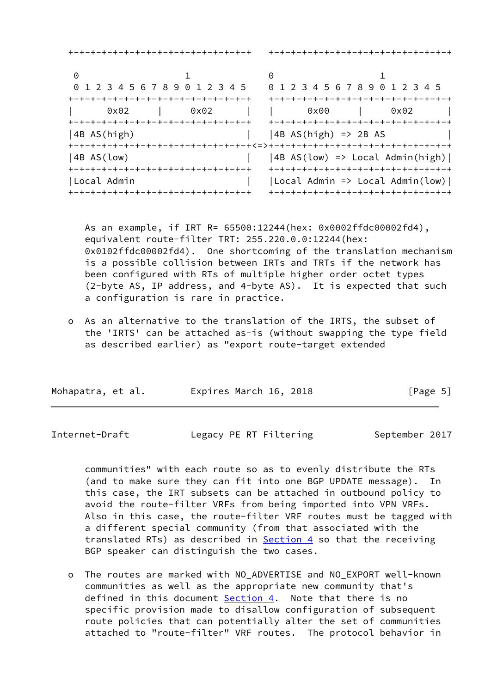|             | +-+-+-+-+-+-+-+-+-+-+-+-+-+-+-+-+-+                                                |                                | +-+-+-+-+-+-+-+-+-+-+-+-+-+-+-+-+-+                                                 |
|-------------|------------------------------------------------------------------------------------|--------------------------------|-------------------------------------------------------------------------------------|
| 0           |                                                                                    |                                |                                                                                     |
|             | 0 1 2 3 4 5 6 7 8 9 0 1 2 3 4 5                                                    |                                | 0 1 2 3 4 5 6 7 8 9 0 1 2 3 4 5                                                     |
| $0\times02$ | +-+-+-+-+-+-+-+-+-+-+-+-+-+-+-+-+-+<br>0x02<br>+-+-+-+-+-+-+-+-+-+-+-+-+-+-+-+-+-+ | $0\times00$                    | +-+-+-+-+-+-+-+-+-+-+-+-+-+-+-+-+-+<br>0x02                                         |
| 4B AS(high) | +-+-+-+-+-+-+-+-+-+-+-+-+-+-+-+-+-+-+<=>+-+-+-+-+-+-+-+-+-+-+-+-+-+-+-+-+-+        | $\vert$   4B AS(high) => 2B AS | +-+-+-+-+-+-+-+-+-+-+-+-+-+-+-+-+-+                                                 |
| 4B AS(low)  | +-+-+-+-+-+-+-+-+-+-+-+-+-+-+-+-+-+                                                |                                | $ 4B AS(low) \Rightarrow Local Admin(high) $<br>+-+-+-+-+-+-+-+-+-+-+-+-+-+-+-+-+-+ |
| Local Admin | +-+-+-+-+-+-+-+-+-+-+-+-+-+-+-+-+-+                                                |                                | $ Local$ Admin => Local Admin(low)  <br>+-+-+-+-+-+-+-+-+-+-+-+-+-+-+-+-+-          |

 As an example, if IRT R= 65500:12244(hex: 0x0002ffdc00002fd4), equivalent route-filter TRT: 255.220.0.0:12244(hex: 0x0102ffdc00002fd4). One shortcoming of the translation mechanism is a possible collision between IRTs and TRTs if the network has been configured with RTs of multiple higher order octet types (2-byte AS, IP address, and 4-byte AS). It is expected that such a configuration is rare in practice.

 o As an alternative to the translation of the IRTS, the subset of the 'IRTS' can be attached as-is (without swapping the type field as described earlier) as "export route-target extended

| Expires March 16, 2018 | [Page 5] |
|------------------------|----------|
|                        |          |

<span id="page-5-0"></span>Internet-Draft **Legacy PE RT Filtering** September 2017

 communities" with each route so as to evenly distribute the RTs (and to make sure they can fit into one BGP UPDATE message). In this case, the IRT subsets can be attached in outbound policy to avoid the route-filter VRFs from being imported into VPN VRFs. Also in this case, the route-filter VRF routes must be tagged with a different special community (from that associated with the translated RTs) as described in  $Section 4$  so that the receiving BGP speaker can distinguish the two cases.

 o The routes are marked with NO\_ADVERTISE and NO\_EXPORT well-known communities as well as the appropriate new community that's defined in this document [Section 4.](#page-6-1) Note that there is no specific provision made to disallow configuration of subsequent route policies that can potentially alter the set of communities attached to "route-filter" VRF routes. The protocol behavior in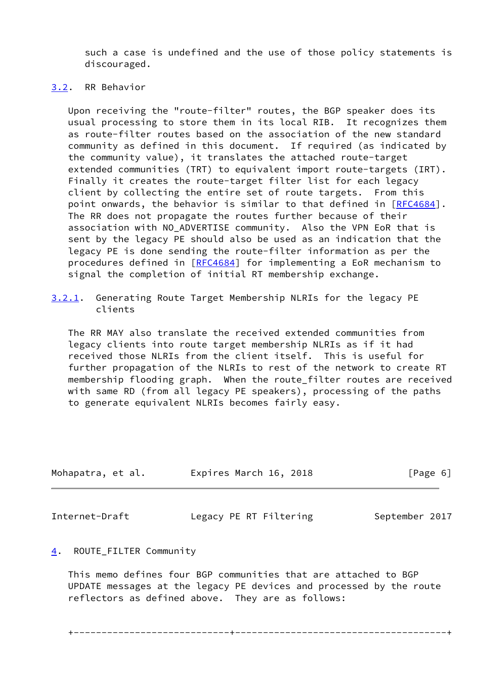such a case is undefined and the use of those policy statements is discouraged.

# <span id="page-6-0"></span>[3.2](#page-6-0). RR Behavior

 Upon receiving the "route-filter" routes, the BGP speaker does its usual processing to store them in its local RIB. It recognizes them as route-filter routes based on the association of the new standard community as defined in this document. If required (as indicated by the community value), it translates the attached route-target extended communities (TRT) to equivalent import route-targets (IRT). Finally it creates the route-target filter list for each legacy client by collecting the entire set of route targets. From this point onwards, the behavior is similar to that defined in [[RFC4684](https://datatracker.ietf.org/doc/pdf/rfc4684)]. The RR does not propagate the routes further because of their association with NO ADVERTISE community. Also the VPN EoR that is sent by the legacy PE should also be used as an indication that the legacy PE is done sending the route-filter information as per the procedures defined in [[RFC4684](https://datatracker.ietf.org/doc/pdf/rfc4684)] for implementing a EoR mechanism to signal the completion of initial RT membership exchange.

 The RR MAY also translate the received extended communities from legacy clients into route target membership NLRIs as if it had received those NLRIs from the client itself. This is useful for further propagation of the NLRIs to rest of the network to create RT membership flooding graph. When the route\_filter routes are received with same RD (from all legacy PE speakers), processing of the paths to generate equivalent NLRIs becomes fairly easy.

| Mohapatra, et al. | Expires March 16, 2018 | [Page 6] |
|-------------------|------------------------|----------|
|                   |                        |          |
|                   |                        |          |

<span id="page-6-2"></span>Internet-Draft Legacy PE RT Filtering September 2017

<span id="page-6-1"></span>[4](#page-6-1). ROUTE\_FILTER Community

 This memo defines four BGP communities that are attached to BGP UPDATE messages at the legacy PE devices and processed by the route reflectors as defined above. They are as follows:

<span id="page-6-3"></span>[<sup>3.2.1</sup>](#page-6-3). Generating Route Target Membership NLRIs for the legacy PE clients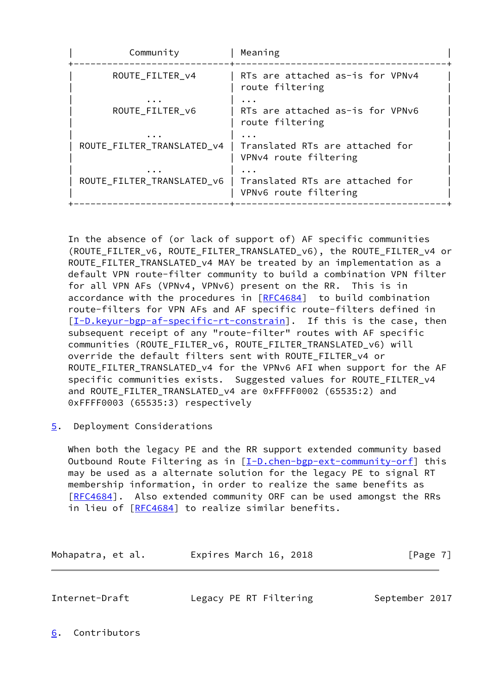| Community                              | Meaning                                                  |
|----------------------------------------|----------------------------------------------------------|
| ROUTE FILTER v4                        | RTs are attached as-is for VPNv4<br>route filtering      |
| ROUTE FILTER v6                        | RTs are attached as-is for VPNv6<br>route filtering      |
| ROUTE FILTER TRANSLATED V4             | Translated RTs are attached for<br>VPNv4 route filtering |
| $\cdots$<br>ROUTE_FILTER_TRANSLATED_v6 | Translated RTs are attached for<br>VPNv6 route filtering |

 In the absence of (or lack of support of) AF specific communities (ROUTE\_FILTER\_v6, ROUTE\_FILTER\_TRANSLATED\_v6), the ROUTE\_FILTER\_v4 or ROUTE FILTER\_TRANSLATED\_v4 MAY be treated by an implementation as a default VPN route-filter community to build a combination VPN filter for all VPN AFs (VPNv4, VPNv6) present on the RR. This is in accordance with the procedures in [[RFC4684](https://datatracker.ietf.org/doc/pdf/rfc4684)] to build combination route-filters for VPN AFs and AF specific route-filters defined in [\[I-D.keyur-bgp-af-specific-rt-constrain](#page-9-2)]. If this is the case, then subsequent receipt of any "route-filter" routes with AF specific communities (ROUTE\_FILTER\_v6, ROUTE\_FILTER\_TRANSLATED\_v6) will override the default filters sent with ROUTE\_FILTER\_v4 or ROUTE\_FILTER\_TRANSLATED\_v4 for the VPNv6 AFI when support for the AF specific communities exists. Suggested values for ROUTE\_FILTER\_v4 and ROUTE\_FILTER\_TRANSLATED\_v4 are 0xFFFF0002 (65535:2) and 0xFFFF0003 (65535:3) respectively

<span id="page-7-0"></span>[5](#page-7-0). Deployment Considerations

 When both the legacy PE and the RR support extended community based Outbound Route Filtering as in  $[I-D.chen-bgp-ext-community-off]$  this may be used as a alternate solution for the legacy PE to signal RT membership information, in order to realize the same benefits as [\[RFC4684](https://datatracker.ietf.org/doc/pdf/rfc4684)]. Also extended community ORF can be used amongst the RRs in lieu of [[RFC4684\]](https://datatracker.ietf.org/doc/pdf/rfc4684) to realize similar benefits.

Mohapatra, et al. **Expires March 16, 2018**[Page 7]

<span id="page-7-2"></span>

| Internet-Draft | Legacy PE RT Filtering | September 2017 |  |
|----------------|------------------------|----------------|--|
|                |                        |                |  |

<span id="page-7-1"></span>[6](#page-7-1). Contributors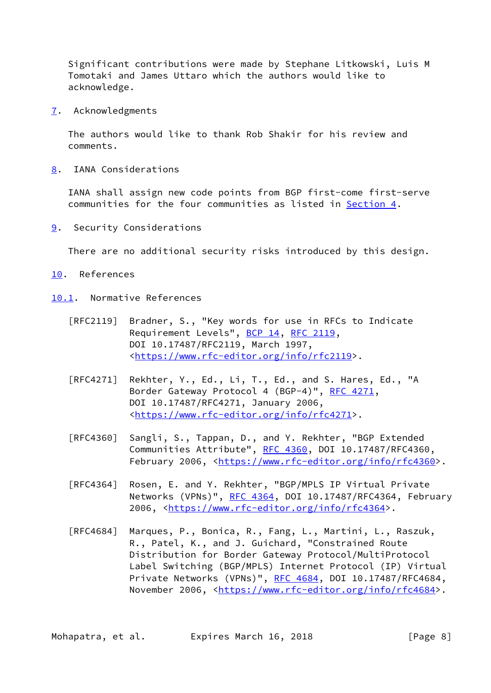Significant contributions were made by Stephane Litkowski, Luis M Tomotaki and James Uttaro which the authors would like to acknowledge.

<span id="page-8-0"></span>[7](#page-8-0). Acknowledgments

 The authors would like to thank Rob Shakir for his review and comments.

<span id="page-8-1"></span>[8](#page-8-1). IANA Considerations

 IANA shall assign new code points from BGP first-come first-serve communities for the four communities as listed in [Section 4.](#page-6-1)

<span id="page-8-2"></span>[9](#page-8-2). Security Considerations

There are no additional security risks introduced by this design.

- <span id="page-8-3"></span>[10.](#page-8-3) References
- <span id="page-8-4"></span>[10.1](#page-8-4). Normative References
	- [RFC2119] Bradner, S., "Key words for use in RFCs to Indicate Requirement Levels", [BCP 14](https://datatracker.ietf.org/doc/pdf/bcp14), [RFC 2119](https://datatracker.ietf.org/doc/pdf/rfc2119), DOI 10.17487/RFC2119, March 1997, <[https://www.rfc-editor.org/info/rfc2119>](https://www.rfc-editor.org/info/rfc2119).
	- [RFC4271] Rekhter, Y., Ed., Li, T., Ed., and S. Hares, Ed., "A Border Gateway Protocol 4 (BGP-4)", [RFC 4271,](https://datatracker.ietf.org/doc/pdf/rfc4271) DOI 10.17487/RFC4271, January 2006, <[https://www.rfc-editor.org/info/rfc4271>](https://www.rfc-editor.org/info/rfc4271).
	- [RFC4360] Sangli, S., Tappan, D., and Y. Rekhter, "BGP Extended Communities Attribute", [RFC 4360,](https://datatracker.ietf.org/doc/pdf/rfc4360) DOI 10.17487/RFC4360, February 2006, <<https://www.rfc-editor.org/info/rfc4360>>.
	- [RFC4364] Rosen, E. and Y. Rekhter, "BGP/MPLS IP Virtual Private Networks (VPNs)", [RFC 4364](https://datatracker.ietf.org/doc/pdf/rfc4364), DOI 10.17487/RFC4364, February 2006, [<https://www.rfc-editor.org/info/rfc4364](https://www.rfc-editor.org/info/rfc4364)>.
	- [RFC4684] Marques, P., Bonica, R., Fang, L., Martini, L., Raszuk, R., Patel, K., and J. Guichard, "Constrained Route Distribution for Border Gateway Protocol/MultiProtocol Label Switching (BGP/MPLS) Internet Protocol (IP) Virtual Private Networks (VPNs)", [RFC 4684](https://datatracker.ietf.org/doc/pdf/rfc4684), DOI 10.17487/RFC4684, November 2006, <<https://www.rfc-editor.org/info/rfc4684>>.

Mohapatra, et al. Expires March 16, 2018 [Page 8]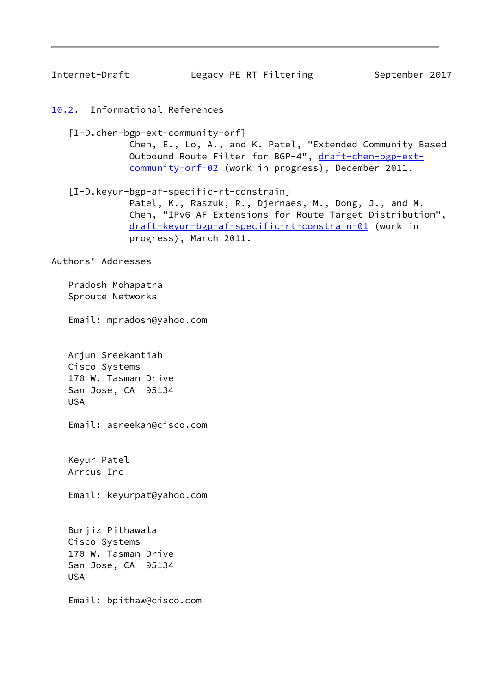<span id="page-9-1"></span><span id="page-9-0"></span>[10.2](#page-9-0). Informational References

<span id="page-9-3"></span> [I-D.chen-bgp-ext-community-orf] Chen, E., Lo, A., and K. Patel, "Extended Community Based Outbound Route Filter for BGP-4", [draft-chen-bgp-ext](https://datatracker.ietf.org/doc/pdf/draft-chen-bgp-ext-community-orf-02) [community-orf-02](https://datatracker.ietf.org/doc/pdf/draft-chen-bgp-ext-community-orf-02) (work in progress), December 2011.

<span id="page-9-2"></span> [I-D.keyur-bgp-af-specific-rt-constrain] Patel, K., Raszuk, R., Djernaes, M., Dong, J., and M. Chen, "IPv6 AF Extensions for Route Target Distribution", [draft-keyur-bgp-af-specific-rt-constrain-01](https://datatracker.ietf.org/doc/pdf/draft-keyur-bgp-af-specific-rt-constrain-01) (work in progress), March 2011.

Authors' Addresses

 Pradosh Mohapatra Sproute Networks

Email: mpradosh@yahoo.com

 Arjun Sreekantiah Cisco Systems 170 W. Tasman Drive San Jose, CA 95134 USA

Email: asreekan@cisco.com

 Keyur Patel Arrcus Inc

Email: keyurpat@yahoo.com

 Burjiz Pithawala Cisco Systems 170 W. Tasman Drive San Jose, CA 95134 USA

Email: bpithaw@cisco.com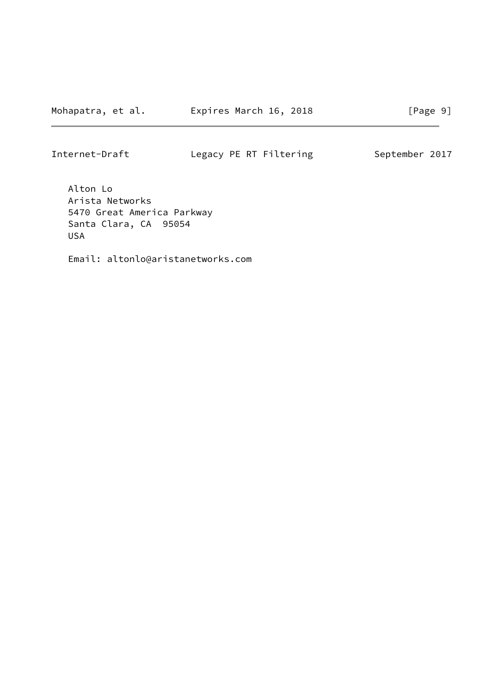Alton Lo Arista Networks 5470 Great America Parkway Santa Clara, CA 95054 USA

Email: altonlo@aristanetworks.com